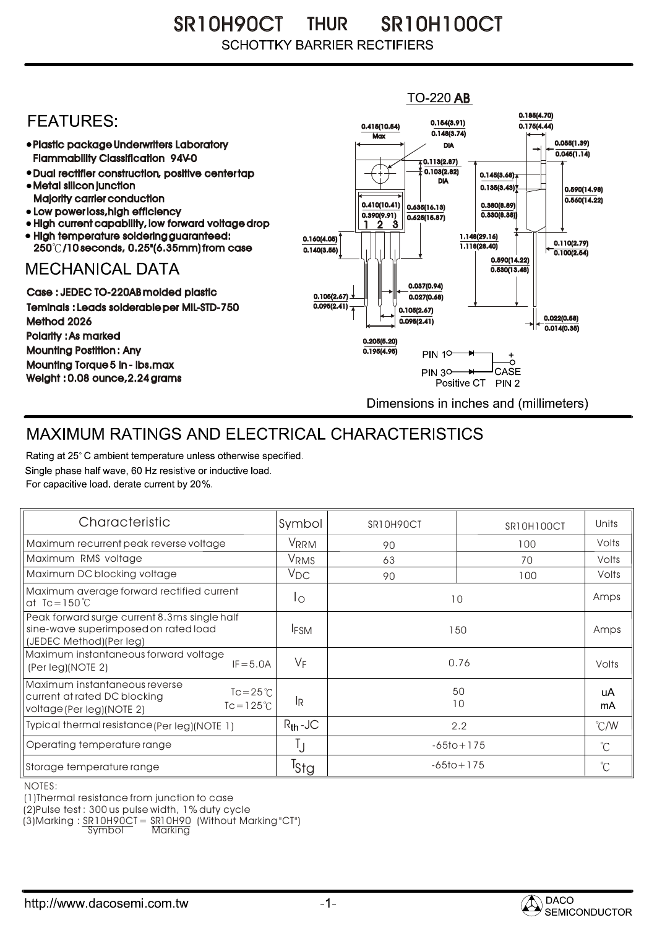SR10H90CT THUR SR10H100CT **SCHOTTKY BARRIER RECTIFIERS** 

## $TO-220$  AB 0.185(4.70) **FEATURES:** 0.154(3.91) 0.415(10.54) 0.175(4.44)  $0.148(3.74)$ **Max** Plastic package Underwriters Laboratory 0.055(1.39) DIA  $0.045(1.14)$ Flammability Classification 94V-0  $\overline{4}$  0.113(2.87) 0.103(2.82) Dual rectifier construction, positive center tap 0.145(3.68) DIA Metal silicon junction  $0.135(3.43)$ 0.590(14.98) Majority carrier conduction  $0.560(14.22)$ 0.410(10.41) 0.380(8.89) 0.635(16.13) • Low power loss, high efficiency 0.330(8.38)) 0.390(9.91)  $0.625(15.87)$ High current capability, low forward voltage drop 1 3 2 • High temperature soldering guaranteed: 1.148(29.16) 0.160(4.05) 0.110(2.79) 250 /10 seconds, 0.25"(6.35mm) from case 1.118(28.40) 0.140(3.55)  $\overline{0.100(2.54)}$ 0.590(14.22) **MECHANICAL DATA**  $0.530(13.48)$ 0.037(0.94) Case : JEDEC TO-220AB molded plastic 0.105(2.67)  $0.027(0.68)$ Teminals : Leads solderable per MIL-STD-750  $0.095(2.41)$ 0.105(2.67) 0.022(0.58) Method 2026  $0.095(2.41)$  $0.014(0.35)$ Polarity : As marked 0.205(5.20) Mounting Postition : Any 0.195(4.95) **PIN 10-**Mounting Torque 5 in - lbs.max **PIN 30-**CASE  $\overline{\phantom{a}}$ Weight : 0.08 ounce,2.24 grams Positive CT PIN 2 Dimensions in inches and (millimeters)

## MAXIMUM RATINGS AND ELECTRICAL CHARACTERISTICS

Rating at 25° C ambient temperature unless otherwise specified. Single phase half wave, 60 Hz resistive or inductive load. For capacitive load, derate current by 20%.

| Characteristic                                                                                                                           | Symbol           | SR10H90CT      | SR10H100CT     | Units         |
|------------------------------------------------------------------------------------------------------------------------------------------|------------------|----------------|----------------|---------------|
| Maximum recurrent peak reverse voltage                                                                                                   | VRRM             | 90             | 100            | Volts         |
| Maximum RMS voltage                                                                                                                      | V <sub>RMS</sub> | 63             | 70             | Volts         |
| Maximum DC blocking voltage                                                                                                              | $V_{DC}$         | 90             | 100            | Volts         |
| Maximum average forward rectified current<br>at $Tc = 150^{\circ}C$                                                                      | $\overline{1}$   | 10             |                | Amps          |
| Peak forward surge current 8.3ms single half<br>sine-wave superimposed on rated load<br>(JEDEC Method)(Per leg)                          | <b>IFSM</b>      | 150            |                | Amps          |
| Maximum instantaneous forward voltage<br>$IF = 5.0A$<br>(Per leg)(NOTE 2)                                                                | VF               | 0.76           |                | Volts         |
| Maximum instantaneous reverse<br>$Tc = 25^{\circ}C$<br>current at rated DC blocking<br>$Tc = 125^{\circ}C$<br>voltage (Per leg) (NOTE 2) | lR.              |                | 50<br>10       |               |
| Typical thermal resistance (Per leg) (NOTE 1)                                                                                            | $R_{th}$ -JC     | 2.2            |                | $\degree$ C/W |
| Operating temperature range                                                                                                              | IJ               | $-65$ to + 175 |                | $\hat{C}$     |
| Storage temperature range                                                                                                                | Tstg             |                | $-65$ to + 175 |               |

NOTES:

(1)Thermal resistance from junction to case

(2)Pulse test : 300 us pulse width, 1% duty cycle

(3)Marking : <u>SR10H90C</u>T = <u>SR10H90</u> (Without Marking "CT") R

Symbol Marking